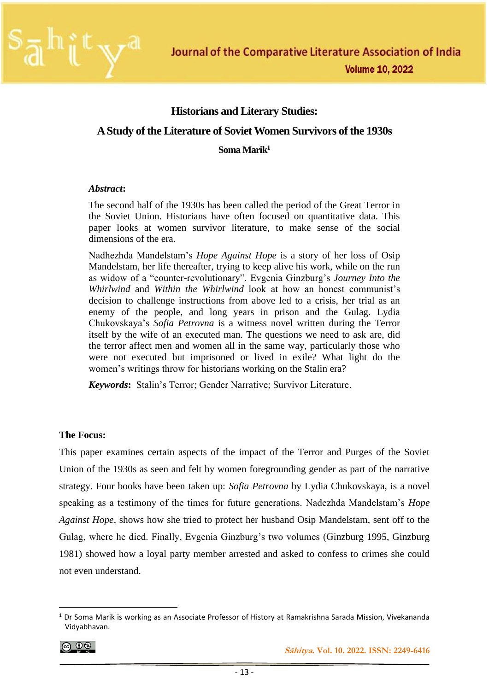

## **Historians and Literary Studies:**

## **A Study of the Literature of Soviet Women Survivors of the 1930s**

**Soma Marik<sup>1</sup>**

### *Abstract***:**

The second half of the 1930s has been called the period of the Great Terror in the Soviet Union. Historians have often focused on quantitative data. This paper looks at women survivor literature, to make sense of the social dimensions of the era.

Nadhezhda Mandelstam's *Hope Against Hope* is a story of her loss of Osip Mandelstam, her life thereafter, trying to keep alive his work, while on the run as widow of a "counter-revolutionary". Evgenia Ginzburg's *Journey Into the Whirlwind* and *Within the Whirlwind* look at how an honest communist's decision to challenge instructions from above led to a crisis, her trial as an enemy of the people, and long years in prison and the Gulag. Lydia Chukovskaya's *Sofia Petrovna* is a witness novel written during the Terror itself by the wife of an executed man. The questions we need to ask are, did the terror affect men and women all in the same way, particularly those who were not executed but imprisoned or lived in exile? What light do the women's writings throw for historians working on the Stalin era?

*Keywords***:** Stalin's Terror; Gender Narrative; Survivor Literature.

### **The Focus:**

This paper examines certain aspects of the impact of the Terror and Purges of the Soviet Union of the 1930s as seen and felt by women foregrounding gender as part of the narrative strategy. Four books have been taken up: *Sofia Petrovna* by Lydia Chukovskaya, is a novel speaking as a testimony of the times for future generations. Nadezhda Mandelstam's *Hope Against Hope*, shows how she tried to protect her husband Osip Mandelstam, sent off to the Gulag, where he died. Finally, Evgenia Ginzburg's two volumes (Ginzburg 1995, Ginzburg 1981) showed how a loyal party member arrested and asked to confess to crimes she could not even understand.

$$
\bigcirc \hspace{-0.75mm} \bigcirc \hspace{-0.75mm} \bigcirc \hspace{-0.75mm} \bigcirc \hspace{-0.75mm} \bigcirc \hspace{-0.75mm} \bigcirc \hspace{-0.75mm} \bigcirc \hspace{-0.75mm} \bigcirc \hspace{-0.75mm} \bigcirc \hspace{-0.75mm} \bigcirc \hspace{-0.75mm} \bigcirc \hspace{-0.75mm} \bigcirc \hspace{-0.75mm} \bigcirc \hspace{-0.75mm} \bigcirc \hspace{-0.75mm} \bigcirc \hspace{-0.75mm} \bigcirc \hspace{-0.75mm} \bigcirc \hspace{-0.75mm} \bigcirc \hspace{-0.75mm} \bigcirc \hspace{-0.75mm} \bigcirc \hspace{-0.75mm} \bigcirc \hspace{-0.75mm} \bigcirc \hspace{-0.75mm} \bigcirc \hspace{-0.75mm} \bigcirc \hspace{-0.75mm} \bigcirc \hspace{-0.75mm} \bigcirc \hspace{-0.75mm} \bigcirc \hspace{-0.75mm} \bigcirc \hspace{-0.75mm} \bigcirc \hspace{-0.75mm} \bigcirc \hspace{-0.75mm} \bigcirc \hspace{-0.75mm} \bigcirc \hspace{-0.75mm} \bigcirc \hspace{-0.75mm} \bigcirc \hspace{-0.75mm} \bigcirc \hspace{-0.75mm} \bigcirc \hspace{-0.75mm} \bigcirc \hspace{-0.75mm} \bigcirc \hspace{-0.75mm} \bigcirc \hspace{-0.75mm} \bigcirc \hspace{-0.75mm} \bigcirc \hspace{-0.75mm} \bigcirc \hspace{-0.75mm} \bigcirc \hspace{-0.75mm} \bigcirc \hspace{-0.75mm} \bigcirc \hspace{-0.75mm} \bigcirc \hspace{-0.75mm} \bigcirc \hspace{-0.75mm} \bigcirc \hspace{-0.75mm} \bigcirc \hspace{-0.75mm} \bigcirc \hspace{-0.75mm} \bigcirc \hspace{-0.75mm} \bigcirc \hspace{-0.75mm} \bigcirc \hspace{-0.75mm} \bigcirc \hspace{-0.75mm} \bigcirc \hspace{-0.75mm} \bigcirc \hspace{-0.75mm} \bigcirc \hspace{-0.75mm} \bigcirc \hspace{-0.75mm} \bigcirc \hspace
$$

 $1$  Dr Soma Marik is working as an Associate Professor of History at Ramakrishna Sarada Mission, Vivekananda Vidyabhavan.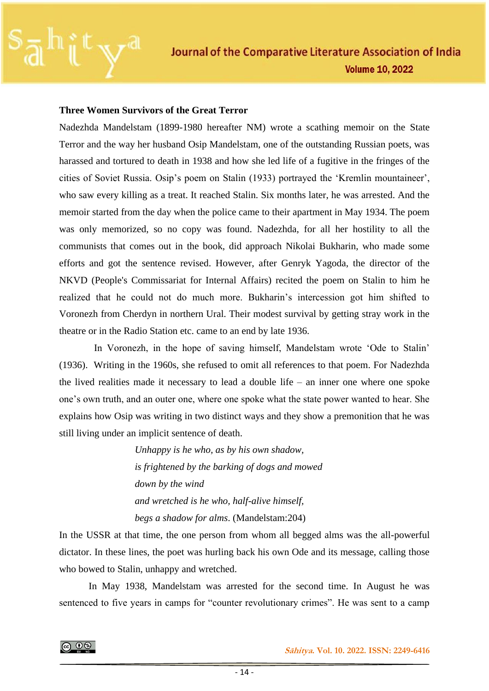

### **Three Women Survivors of the Great Terror**

Nadezhda Mandelstam (1899-1980 hereafter NM) wrote a scathing memoir on the State Terror and the way her husband Osip Mandelstam, one of the outstanding Russian poets, was harassed and tortured to death in 1938 and how she led life of a fugitive in the fringes of the cities of Soviet Russia. Osip's poem on Stalin (1933) portrayed the 'Kremlin mountaineer', who saw every killing as a treat. It reached Stalin. Six months later, he was arrested. And the memoir started from the day when the police came to their apartment in May 1934. The poem was only memorized, so no copy was found. Nadezhda, for all her hostility to all the communists that comes out in the book, did approach Nikolai Bukharin, who made some efforts and got the sentence revised. However, after Genryk Yagoda, the director of the NKVD (People's Commissariat for Internal Affairs) recited the poem on Stalin to him he realized that he could not do much more. Bukharin's intercession got him shifted to Voronezh from Cherdyn in northern Ural. Their modest survival by getting stray work in the theatre or in the Radio Station etc. came to an end by late 1936.

In Voronezh, in the hope of saving himself, Mandelstam wrote 'Ode to Stalin' (1936). Writing in the 1960s, she refused to omit all references to that poem. For Nadezhda the lived realities made it necessary to lead a double life – an inner one where one spoke one's own truth, and an outer one, where one spoke what the state power wanted to hear. She explains how Osip was writing in two distinct ways and they show a premonition that he was still living under an implicit sentence of death.

> *Unhappy is he who, as by his own shadow, is frightened by the barking of dogs and mowed down by the wind and wretched is he who, half-alive himself, begs a shadow for alms*. (Mandelstam:204)

In the USSR at that time, the one person from whom all begged alms was the all-powerful dictator. In these lines, the poet was hurling back his own Ode and its message, calling those who bowed to Stalin, unhappy and wretched.

In May 1938, Mandelstam was arrested for the second time. In August he was sentenced to five years in camps for "counter revolutionary crimes". He was sent to a camp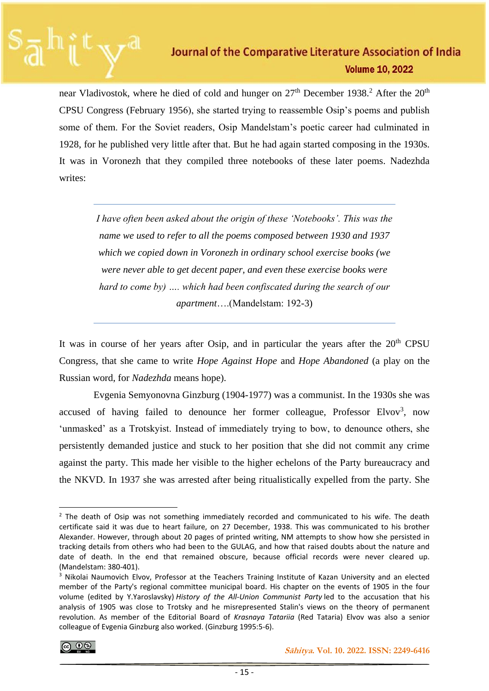near Vladivostok, where he died of cold and hunger on  $27<sup>th</sup>$  December 1938.<sup>2</sup> After the  $20<sup>th</sup>$ CPSU Congress (February 1956), she started trying to reassemble Osip's poems and publish some of them. For the Soviet readers, Osip Mandelstam's poetic career had culminated in 1928, for he published very little after that. But he had again started composing in the 1930s. It was in Voronezh that they compiled three notebooks of these later poems. Nadezhda writes:

*I have often been asked about the origin of these 'Notebooks'. This was the name we used to refer to all the poems composed between 1930 and 1937 which we copied down in Voronezh in ordinary school exercise books (we were never able to get decent paper, and even these exercise books were hard to come by) …. which had been confiscated during the search of our apartment*….(Mandelstam: 192-3)

It was in course of her years after Osip, and in particular the years after the  $20<sup>th</sup>$  CPSU Congress, that she came to write *Hope Against Hope* and *Hope Abandoned* (a play on the Russian word, for *Nadezhda* means hope).

 Evgenia Semyonovna Ginzburg (1904-1977) was a communist. In the 1930s she was accused of having failed to denounce her former colleague, Professor Elvov<sup>3</sup>, now 'unmasked' as a Trotskyist. Instead of immediately trying to bow, to denounce others, she persistently demanded justice and stuck to her position that she did not commit any crime against the party. This made her visible to the higher echelons of the Party bureaucracy and the NKVD. In 1937 she was arrested after being ritualistically expelled from the party. She

 $<sup>2</sup>$  The death of Osip was not something immediately recorded and communicated to his wife. The death</sup> certificate said it was due to heart failure, on 27 December, 1938. This was communicated to his brother Alexander. However, through about 20 pages of printed writing, NM attempts to show how she persisted in tracking details from others who had been to the GULAG, and how that raised doubts about the nature and date of death. In the end that remained obscure, because official records were never cleared up. (Mandelstam: 380-401).

<sup>&</sup>lt;sup>3</sup> Nikolai Naumovich Elvov, Professor at the Teachers Training Institute of Kazan University and an elected member of the Party's regional committee municipal board. His chapter on the events of 1905 in the four volume (edited by Y.Yaroslavsky) *History of the All-Union Communist Party* led to the accusation that his analysis of 1905 was close to Trotsky and he misrepresented Stalin's views on the theory of permanent revolution. As member of the Editorial Board of *Krasnaya Tatariia* (Red Tataria) Elvov was also a senior colleague of Evgenia Ginzburg also worked. (Ginzburg 1995:5-6).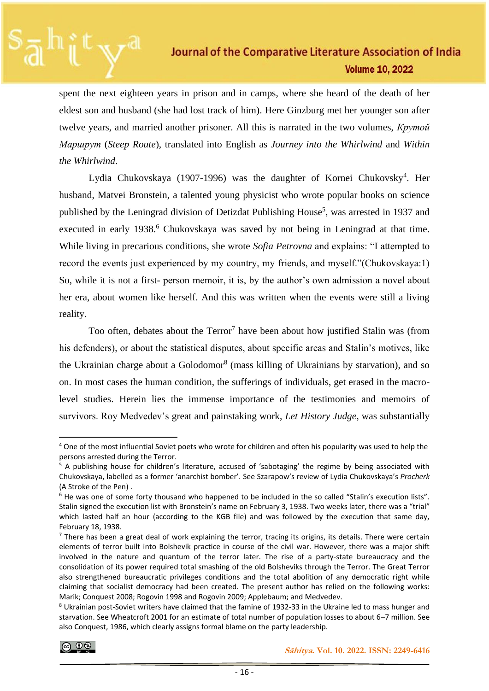spent the next eighteen years in prison and in camps, where she heard of the death of her eldest son and husband (she had lost track of him). Here Ginzburg met her younger son after twelve years, and married another prisoner. All this is narrated in the two volumes, *Крутой Маршрут* (*Steep Route*), translated into English as *Journey into the Whirlwind* and *Within the Whirlwind*.

Lydia Chukovskaya (1907-1996) was the daughter of Kornei Chukovsky<sup>4</sup>. Her husband, Matvei Bronstein, a talented young physicist who wrote popular books on science published by the Leningrad division of Detizdat Publishing House<sup>5</sup>, was arrested in 1937 and executed in early 1938.<sup>6</sup> Chukovskaya was saved by not being in Leningrad at that time. While living in precarious conditions, she wrote *Sofia Petrovna* and explains: "I attempted to record the events just experienced by my country, my friends, and myself."(Chukovskaya:1) So, while it is not a first- person memoir, it is, by the author's own admission a novel about her era, about women like herself. And this was written when the events were still a living reality.

Too often, debates about the Terror<sup>7</sup> have been about how justified Stalin was (from his defenders), or about the statistical disputes, about specific areas and Stalin's motives, like the Ukrainian charge about a Golodomor<sup>8</sup> (mass killing of Ukrainians by starvation), and so on. In most cases the human condition, the sufferings of individuals, get erased in the macrolevel studies. Herein lies the immense importance of the testimonies and memoirs of survivors. Roy Medvedev's great and painstaking work, *Let History Judge*, was substantially

<sup>4</sup> One of the most influential Soviet poets who wrote for children and often his popularity was used to help the persons arrested during the Terror.

<sup>&</sup>lt;sup>5</sup> A publishing house for children's literature, accused of 'sabotaging' the regime by being associated with Chukovskaya, labelled as a former 'anarchist bomber'. See Szarapow's review of Lydia Chukovskaya's *Procherk* (A Stroke of the Pen) .

<sup>&</sup>lt;sup>6</sup> He was one of some forty thousand who happened to be included in the so called "Stalin's execution lists". Stalin signed the execution list with Bronstein's name on February 3, 1938. Two weeks later, there was a "trial" which lasted half an hour (according to the KGB file) and was followed by the execution that same day, February 18, 1938.

 $<sup>7</sup>$  There has been a great deal of work explaining the terror, tracing its origins, its details. There were certain</sup> elements of terror built into Bolshevik practice in course of the civil war. However, there was a major shift involved in the nature and quantum of the terror later. The rise of a party-state bureaucracy and the consolidation of its power required total smashing of the old Bolsheviks through the Terror. The Great Terror also strengthened bureaucratic privileges conditions and the total abolition of any democratic right while claiming that socialist democracy had been created. The present author has relied on the following works: Marik; Conquest 2008; Rogovin 1998 and Rogovin 2009; Applebaum; and Medvedev.

<sup>8</sup> Ukrainian post-Soviet writers have claimed that the famine of 1932-33 in the Ukraine led to mass hunger and starvation. See Wheatcroft 2001 for an estimate of total number of population losses to about 6–7 million. See also Conquest, 1986, which clearly assigns formal blame on the party leadership.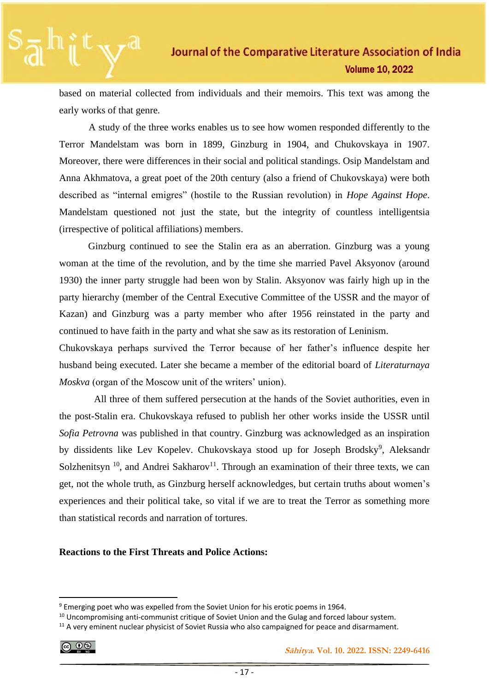based on material collected from individuals and their memoirs. This text was among the early works of that genre.

A study of the three works enables us to see how women responded differently to the Terror Mandelstam was born in 1899, Ginzburg in 1904, and Chukovskaya in 1907. Moreover, there were differences in their social and political standings. Osip Mandelstam and Anna Akhmatova, a great poet of the 20th century (also a friend of Chukovskaya) were both described as "internal emigres" (hostile to the Russian revolution) in *Hope Against Hope*. Mandelstam questioned not just the state, but the integrity of countless intelligentsia (irrespective of political affiliations) members.

Ginzburg continued to see the Stalin era as an aberration. Ginzburg was a young woman at the time of the revolution, and by the time she married Pavel Aksyonov (around 1930) the inner party struggle had been won by Stalin. Aksyonov was fairly high up in the party hierarchy (member of the Central Executive Committee of the USSR and the mayor of Kazan) and Ginzburg was a party member who after 1956 reinstated in the party and continued to have faith in the party and what she saw as its restoration of Leninism.

Chukovskaya perhaps survived the Terror because of her father's influence despite her husband being executed. Later she became a member of the editorial board of *Literaturnaya Moskva* (organ of the Moscow unit of the writers' union).

All three of them suffered persecution at the hands of the Soviet authorities, even in the post-Stalin era. Chukovskaya refused to publish her other works inside the USSR until *Sofia Petrovna* was published in that country. Ginzburg was acknowledged as an inspiration by dissidents like Lev Kopelev. Chukovskaya stood up for Joseph Brodsky<sup>9</sup>, Aleksandr Solzhenitsyn  $10$ , and Andrei Sakharov<sup>11</sup>. Through an examination of their three texts, we can get, not the whole truth, as Ginzburg herself acknowledges, but certain truths about women's experiences and their political take, so vital if we are to treat the Terror as something more than statistical records and narration of tortures.

### **Reactions to the First Threats and Police Actions:**

$$
\bigodot_{\mathfrak{m}}\bigodot_{\mathfrak{m}}
$$

<sup>&</sup>lt;sup>9</sup> Emerging poet who was expelled from the Soviet Union for his erotic poems in 1964.

<sup>&</sup>lt;sup>10</sup> Uncompromising anti-communist critique of Soviet Union and the Gulag and forced labour system.

<sup>&</sup>lt;sup>11</sup> A very eminent nuclear physicist of Soviet Russia who also campaigned for peace and disarmament.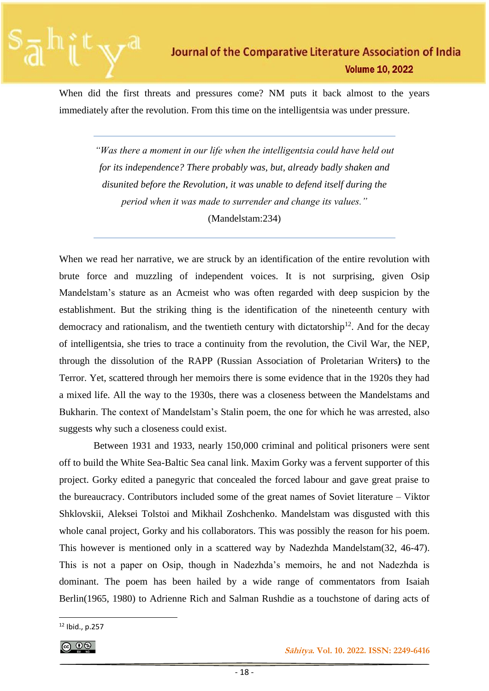When did the first threats and pressures come? NM puts it back almost to the years immediately after the revolution. From this time on the intelligentsia was under pressure.

> *"Was there a moment in our life when the intelligentsia could have held out for its independence? There probably was, but, already badly shaken and disunited before the Revolution, it was unable to defend itself during the period when it was made to surrender and change its values."*  (Mandelstam:234)

When we read her narrative, we are struck by an identification of the entire revolution with brute force and muzzling of independent voices. It is not surprising, given Osip Mandelstam's stature as an Acmeist who was often regarded with deep suspicion by the establishment. But the striking thing is the identification of the nineteenth century with democracy and rationalism, and the twentieth century with dictatorship $12$ . And for the decay of intelligentsia, she tries to trace a continuity from the revolution, the Civil War, the NEP, through the dissolution of the RAPP (Russian Association of Proletarian Writers**)** to the Terror. Yet, scattered through her memoirs there is some evidence that in the 1920s they had a mixed life. All the way to the 1930s, there was a closeness between the Mandelstams and Bukharin. The context of Mandelstam's Stalin poem, the one for which he was arrested, also suggests why such a closeness could exist.

 Between 1931 and 1933, nearly 150,000 criminal and political prisoners were sent off to build the White Sea-Baltic Sea canal link. Maxim Gorky was a fervent supporter of this project. Gorky edited a panegyric that concealed the forced labour and gave great praise to the bureaucracy. Contributors included some of the great names of Soviet literature – Viktor Shklovskii, Aleksei Tolstoi and Mikhail Zoshchenko. Mandelstam was disgusted with this whole canal project, Gorky and his collaborators. This was possibly the reason for his poem. This however is mentioned only in a scattered way by Nadezhda Mandelstam(32, 46-47). This is not a paper on Osip, though in Nadezhda's memoirs, he and not Nadezhda is dominant. The poem has been hailed by a wide range of commentators from Isaiah Berlin(1965, 1980) to Adrienne Rich and Salman Rushdie as a touchstone of daring acts of

 $12$  Ibid., p.257

<sup>ெ ⊕</sup>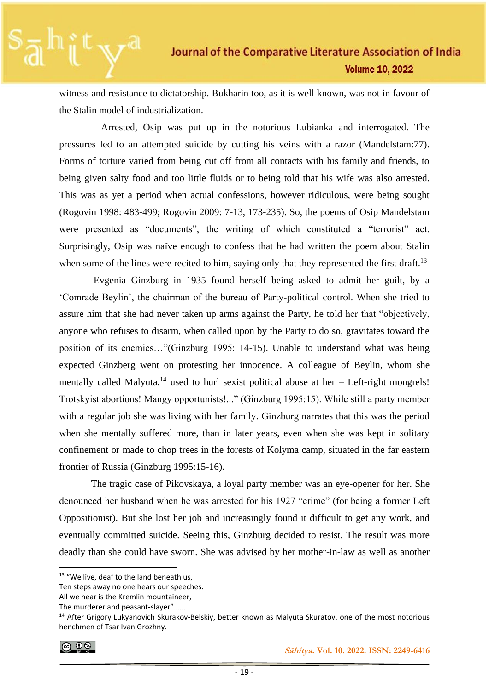witness and resistance to dictatorship. Bukharin too, as it is well known, was not in favour of the Stalin model of industrialization.

 Arrested, Osip was put up in the notorious Lubianka and interrogated. The pressures led to an attempted suicide by cutting his veins with a razor (Mandelstam:77). Forms of torture varied from being cut off from all contacts with his family and friends, to being given salty food and too little fluids or to being told that his wife was also arrested. This was as yet a period when actual confessions, however ridiculous, were being sought (Rogovin 1998: 483-499; Rogovin 2009: 7-13, 173-235). So, the poems of Osip Mandelstam were presented as "documents", the writing of which constituted a "terrorist" act. Surprisingly, Osip was naïve enough to confess that he had written the poem about Stalin when some of the lines were recited to him, saying only that they represented the first draft.<sup>13</sup>

 Evgenia Ginzburg in 1935 found herself being asked to admit her guilt, by a 'Comrade Beylin', the chairman of the bureau of Party-political control. When she tried to assure him that she had never taken up arms against the Party, he told her that "objectively, anyone who refuses to disarm, when called upon by the Party to do so, gravitates toward the position of its enemies…"(Ginzburg 1995: 14-15). Unable to understand what was being expected Ginzberg went on protesting her innocence. A colleague of Beylin, whom she mentally called Malyuta, $^{14}$  used to hurl sexist political abuse at her – Left-right mongrels! Trotskyist abortions! Mangy opportunists!..." (Ginzburg 1995:15). While still a party member with a regular job she was living with her family. Ginzburg narrates that this was the period when she mentally suffered more, than in later years, even when she was kept in solitary confinement or made to chop trees in the forests of Kolyma camp, situated in the far eastern frontier of Russia (Ginzburg 1995:15-16).

 The tragic case of Pikovskaya, a loyal party member was an eye-opener for her. She denounced her husband when he was arrested for his 1927 "crime" (for being a former Left Oppositionist). But she lost her job and increasingly found it difficult to get any work, and eventually committed suicide. Seeing this, Ginzburg decided to resist. The result was more deadly than she could have sworn. She was advised by her mother-in-law as well as another

<sup>&</sup>lt;sup>13</sup> "We live, deaf to the land beneath us,

Ten steps away no one hears our speeches.

All we hear is the Kremlin mountaineer,

The murderer and peasant-slayer"…...

<sup>&</sup>lt;sup>14</sup> After Grigory Lukyanovich Skurakov-Belskiy, better known as Malyuta Skuratov, one of the most notorious henchmen of Tsar Ivan Grozhny.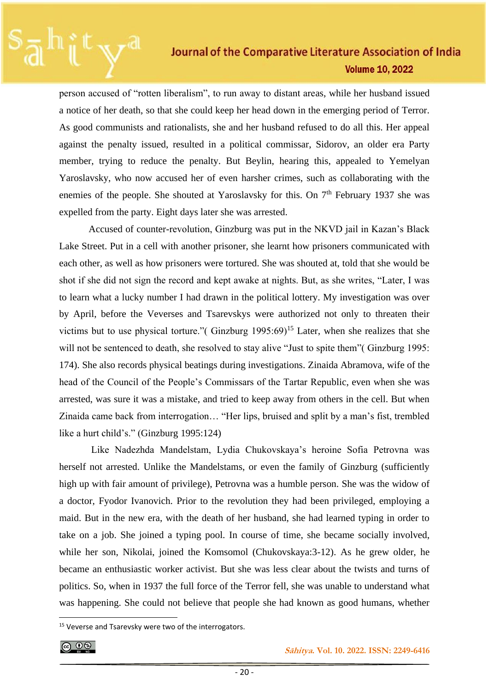person accused of "rotten liberalism", to run away to distant areas, while her husband issued a notice of her death, so that she could keep her head down in the emerging period of Terror. As good communists and rationalists, she and her husband refused to do all this. Her appeal against the penalty issued, resulted in a political commissar, Sidorov, an older era Party member, trying to reduce the penalty. But Beylin, hearing this, appealed to Yemelyan Yaroslavsky, who now accused her of even harsher crimes, such as collaborating with the enemies of the people. She shouted at Yaroslavsky for this. On  $7<sup>th</sup>$  February 1937 she was expelled from the party. Eight days later she was arrested.

 Accused of counter-revolution, Ginzburg was put in the NKVD jail in Kazan's Black Lake Street. Put in a cell with another prisoner, she learnt how prisoners communicated with each other, as well as how prisoners were tortured. She was shouted at, told that she would be shot if she did not sign the record and kept awake at nights. But, as she writes, "Later, I was to learn what a lucky number I had drawn in the political lottery. My investigation was over by April, before the Veverses and Tsarevskys were authorized not only to threaten their victims but to use physical torture."( Ginzburg  $1995:69$ )<sup>15</sup> Later, when she realizes that she will not be sentenced to death, she resolved to stay alive "Just to spite them" (Ginzburg 1995: 174). She also records physical beatings during investigations. Zinaida Abramova, wife of the head of the Council of the People's Commissars of the Tartar Republic, even when she was arrested, was sure it was a mistake, and tried to keep away from others in the cell. But when Zinaida came back from interrogation… "Her lips, bruised and split by a man's fist, trembled like a hurt child's." (Ginzburg 1995:124)

 Like Nadezhda Mandelstam, Lydia Chukovskaya's heroine Sofia Petrovna was herself not arrested. Unlike the Mandelstams, or even the family of Ginzburg (sufficiently high up with fair amount of privilege), Petrovna was a humble person. She was the widow of a doctor, Fyodor Ivanovich. Prior to the revolution they had been privileged, employing a maid. But in the new era, with the death of her husband, she had learned typing in order to take on a job. She joined a typing pool. In course of time, she became socially involved, while her son, Nikolai, joined the Komsomol (Chukovskaya:3-12). As he grew older, he became an enthusiastic worker activist. But she was less clear about the twists and turns of politics. So, when in 1937 the full force of the Terror fell, she was unable to understand what was happening. She could not believe that people she had known as good humans, whether

<sup>&</sup>lt;sup>15</sup> Veverse and Tsarevsky were two of the interrogators.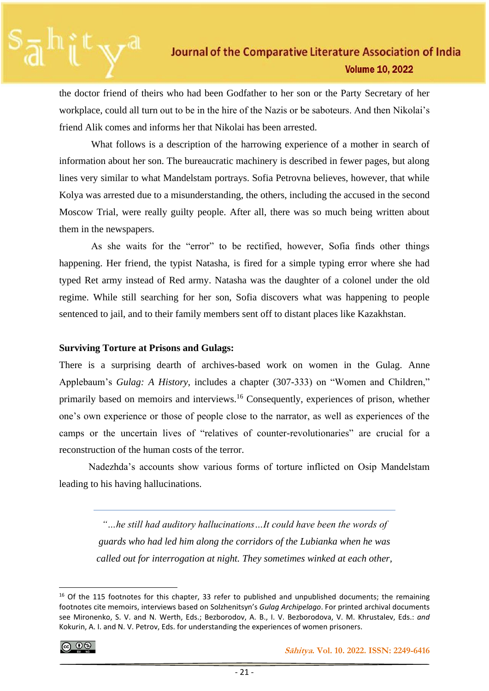the doctor friend of theirs who had been Godfather to her son or the Party Secretary of her workplace, could all turn out to be in the hire of the Nazis or be saboteurs. And then Nikolai's friend Alik comes and informs her that Nikolai has been arrested.

 What follows is a description of the harrowing experience of a mother in search of information about her son. The bureaucratic machinery is described in fewer pages, but along lines very similar to what Mandelstam portrays. Sofia Petrovna believes, however, that while Kolya was arrested due to a misunderstanding, the others, including the accused in the second Moscow Trial, were really guilty people. After all, there was so much being written about them in the newspapers.

 As she waits for the "error" to be rectified, however, Sofia finds other things happening. Her friend, the typist Natasha, is fired for a simple typing error where she had typed Ret army instead of Red army. Natasha was the daughter of a colonel under the old regime. While still searching for her son, Sofia discovers what was happening to people sentenced to jail, and to their family members sent off to distant places like Kazakhstan.

### **Surviving Torture at Prisons and Gulags:**

There is a surprising dearth of archives-based work on women in the Gulag. Anne Applebaum's *Gulag: A History*, includes a chapter (307-333) on "Women and Children," primarily based on memoirs and interviews.<sup>16</sup> Consequently, experiences of prison, whether one's own experience or those of people close to the narrator, as well as experiences of the camps or the uncertain lives of "relatives of counter-revolutionaries" are crucial for a reconstruction of the human costs of the terror.

 Nadezhda's accounts show various forms of torture inflicted on Osip Mandelstam leading to his having hallucinations.

> *"…he still had auditory hallucinations…It could have been the words of guards who had led him along the corridors of the Lubianka when he was called out for interrogation at night. They sometimes winked at each other,*

<sup>&</sup>lt;sup>16</sup> Of the 115 footnotes for this chapter, 33 refer to published and unpublished documents; the remaining footnotes cite memoirs, interviews based on Solzhenitsyn's *Gulag Archipelago*. For printed archival documents see Mironenko, S. V. and N. Werth, Eds.; Bezborodov, A. B., I. V. Bezborodova, V. M. Khrustalev, Eds.: *and*  Kokurin, A. I. and N. V. Petrov, Eds. for understanding the experiences of women prisoners.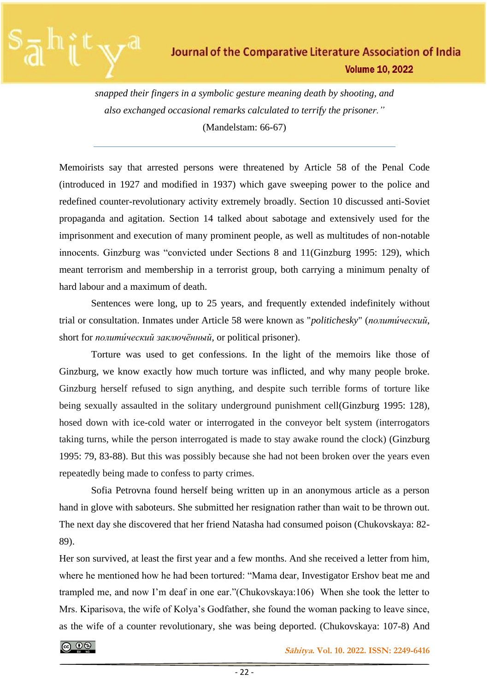

*snapped their fingers in a symbolic gesture meaning death by shooting, and also exchanged occasional remarks calculated to terrify the prisoner."*  (Mandelstam: 66-67)

Memoirists say that arrested persons were threatened by Article 58 of the Penal Code (introduced in 1927 and modified in 1937) which gave sweeping power to the police and redefined counter-revolutionary activity extremely broadly. Section 10 discussed anti-Soviet propaganda and agitation. Section 14 talked about sabotage and extensively used for the imprisonment and execution of many prominent people, as well as multitudes of non-notable innocents. Ginzburg was "convicted under Sections 8 and 11(Ginzburg 1995: 129), which meant terrorism and membership in a terrorist group, both carrying a minimum penalty of hard labour and a maximum of death.

 Sentences were long, up to 25 years, and frequently extended indefinitely without trial or consultation. Inmates under Article 58 were known as "*politichesky*" (*полити́ческий*, short for *полити́ческий заключённый*, or political prisoner).

 Torture was used to get confessions. In the light of the memoirs like those of Ginzburg, we know exactly how much torture was inflicted, and why many people broke. Ginzburg herself refused to sign anything, and despite such terrible forms of torture like being sexually assaulted in the solitary underground punishment cell(Ginzburg 1995: 128), hosed down with ice-cold water or interrogated in the conveyor belt system (interrogators taking turns, while the person interrogated is made to stay awake round the clock) (Ginzburg 1995: 79, 83-88). But this was possibly because she had not been broken over the years even repeatedly being made to confess to party crimes.

 Sofia Petrovna found herself being written up in an anonymous article as a person hand in glove with saboteurs. She submitted her resignation rather than wait to be thrown out. The next day she discovered that her friend Natasha had consumed poison (Chukovskaya: 82- 89).

Her son survived, at least the first year and a few months. And she received a letter from him, where he mentioned how he had been tortured: "Mama dear, Investigator Ershov beat me and trampled me, and now I'm deaf in one ear."(Chukovskaya:106) When she took the letter to Mrs. Kiparisova, the wife of Kolya's Godfather, she found the woman packing to leave since, as the wife of a counter revolutionary, she was being deported. (Chukovskaya: 107-8) And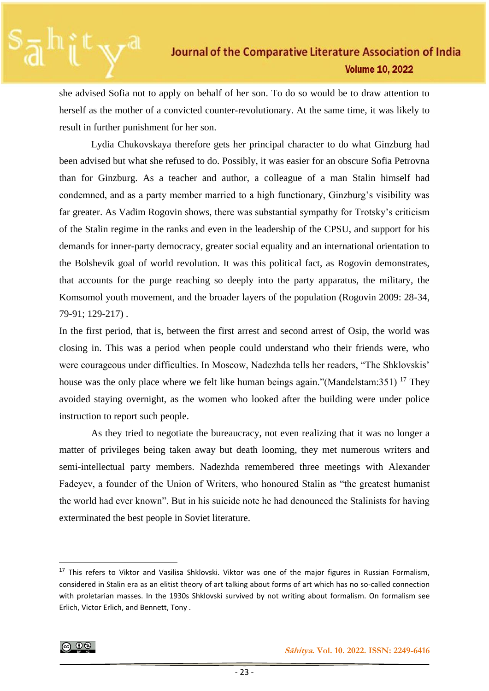she advised Sofia not to apply on behalf of her son. To do so would be to draw attention to herself as the mother of a convicted counter-revolutionary. At the same time, it was likely to result in further punishment for her son.

 Lydia Chukovskaya therefore gets her principal character to do what Ginzburg had been advised but what she refused to do. Possibly, it was easier for an obscure Sofia Petrovna than for Ginzburg. As a teacher and author, a colleague of a man Stalin himself had condemned, and as a party member married to a high functionary, Ginzburg's visibility was far greater. As Vadim Rogovin shows, there was substantial sympathy for Trotsky's criticism of the Stalin regime in the ranks and even in the leadership of the CPSU, and support for his demands for inner-party democracy, greater social equality and an international orientation to the Bolshevik goal of world revolution. It was this political fact, as Rogovin demonstrates, that accounts for the purge reaching so deeply into the party apparatus, the military, the Komsomol youth movement, and the broader layers of the population (Rogovin 2009: 28-34, 79-91; 129-217) .

In the first period, that is, between the first arrest and second arrest of Osip, the world was closing in. This was a period when people could understand who their friends were, who were courageous under difficulties. In Moscow, Nadezhda tells her readers, "The Shklovskis' house was the only place where we felt like human beings again."(Mandelstam: 351) <sup>17</sup> They avoided staying overnight, as the women who looked after the building were under police instruction to report such people.

 As they tried to negotiate the bureaucracy, not even realizing that it was no longer a matter of privileges being taken away but death looming, they met numerous writers and semi-intellectual party members. Nadezhda remembered three meetings with Alexander Fadeyev, a founder of the Union of Writers, who honoured Stalin as "the greatest humanist the world had ever known". But in his suicide note he had denounced the Stalinists for having exterminated the best people in Soviet literature.

<sup>&</sup>lt;sup>17</sup> This refers to Viktor and Vasilisa Shklovski. Viktor was one of the major figures in Russian Formalism, considered in Stalin era as an elitist theory of art talking about forms of art which has no so-called connection with proletarian masses. In the 1930s Shklovski survived by not writing about formalism. On formalism see Erlich, Victor Erlich, and Bennett, Tony .

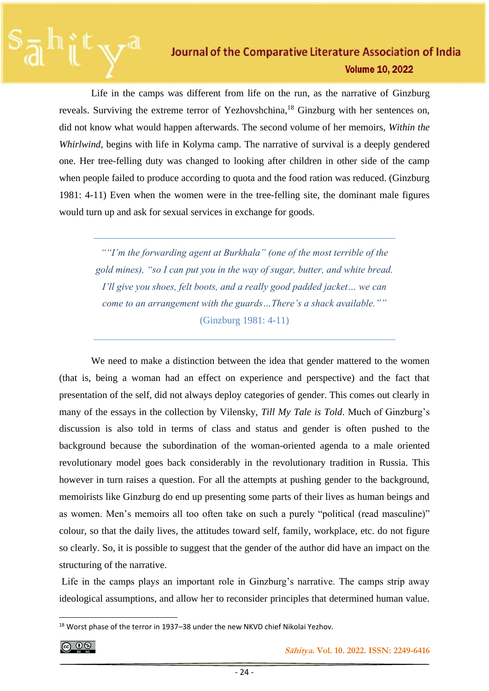Life in the camps was different from life on the run, as the narrative of Ginzburg reveals. Surviving the extreme terror of Yezhovshchina,<sup>18</sup> Ginzburg with her sentences on, did not know what would happen afterwards. The second volume of her memoirs, *Within the Whirlwind*, begins with life in Kolyma camp. The narrative of survival is a deeply gendered one. Her tree-felling duty was changed to looking after children in other side of the camp when people failed to produce according to quota and the food ration was reduced. (Ginzburg 1981: 4-11) Even when the women were in the tree-felling site, the dominant male figures would turn up and ask for sexual services in exchange for goods.

*""I'm the forwarding agent at Burkhala" (one of the most terrible of the gold mines), "so I can put you in the way of sugar, butter, and white bread. I'll give you shoes, felt boots, and a really good padded jacket… we can come to an arrangement with the guards…There's a shack available.""* (Ginzburg 1981: 4-11)

 We need to make a distinction between the idea that gender mattered to the women (that is, being a woman had an effect on experience and perspective) and the fact that presentation of the self, did not always deploy categories of gender. This comes out clearly in many of the essays in the collection by Vilensky, *Till My Tale is Told*. Much of Ginzburg's discussion is also told in terms of class and status and gender is often pushed to the background because the subordination of the woman-oriented agenda to a male oriented revolutionary model goes back considerably in the revolutionary tradition in Russia. This however in turn raises a question. For all the attempts at pushing gender to the background, memoirists like Ginzburg do end up presenting some parts of their lives as human beings and as women. Men's memoirs all too often take on such a purely "political (read masculine)" colour, so that the daily lives, the attitudes toward self, family, workplace, etc. do not figure so clearly. So, it is possible to suggest that the gender of the author did have an impact on the structuring of the narrative.

Life in the camps plays an important role in Ginzburg's narrative. The camps strip away ideological assumptions, and allow her to reconsider principles that determined human value.

<sup>&</sup>lt;sup>18</sup> Worst phase of the terror in 1937–38 under the new NKVD chief Nikolai Yezhov.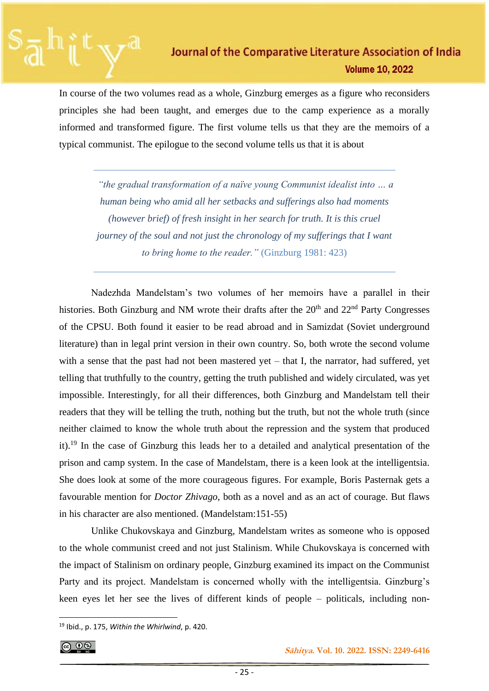In course of the two volumes read as a whole, Ginzburg emerges as a figure who reconsiders principles she had been taught, and emerges due to the camp experience as a morally informed and transformed figure. The first volume tells us that they are the memoirs of a typical communist. The epilogue to the second volume tells us that it is about

*"the gradual transformation of a naïve young Communist idealist into … a human being who amid all her setbacks and sufferings also had moments (however brief) of fresh insight in her search for truth. It is this cruel journey of the soul and not just the chronology of my sufferings that I want to bring home to the reader."* (Ginzburg 1981: 423)

 Nadezhda Mandelstam's two volumes of her memoirs have a parallel in their histories. Both Ginzburg and NM wrote their drafts after the  $20<sup>th</sup>$  and  $22<sup>nd</sup>$  Party Congresses of the CPSU. Both found it easier to be read abroad and in Samizdat (Soviet underground literature) than in legal print version in their own country. So, both wrote the second volume with a sense that the past had not been mastered yet – that I, the narrator, had suffered, yet telling that truthfully to the country, getting the truth published and widely circulated, was yet impossible. Interestingly, for all their differences, both Ginzburg and Mandelstam tell their readers that they will be telling the truth, nothing but the truth, but not the whole truth (since neither claimed to know the whole truth about the repression and the system that produced it).<sup>19</sup> In the case of Ginzburg this leads her to a detailed and analytical presentation of the prison and camp system. In the case of Mandelstam, there is a keen look at the intelligentsia. She does look at some of the more courageous figures. For example, Boris Pasternak gets a favourable mention for *Doctor Zhivago*, both as a novel and as an act of courage. But flaws in his character are also mentioned. (Mandelstam:151-55)

 Unlike Chukovskaya and Ginzburg, Mandelstam writes as someone who is opposed to the whole communist creed and not just Stalinism. While Chukovskaya is concerned with the impact of Stalinism on ordinary people, Ginzburg examined its impact on the Communist Party and its project. Mandelstam is concerned wholly with the intelligentsia. Ginzburg's keen eyes let her see the lives of different kinds of people – politicals, including non-

<sup>19</sup> Ibid., p. 175, *Within the Whirlwind*, p. 420.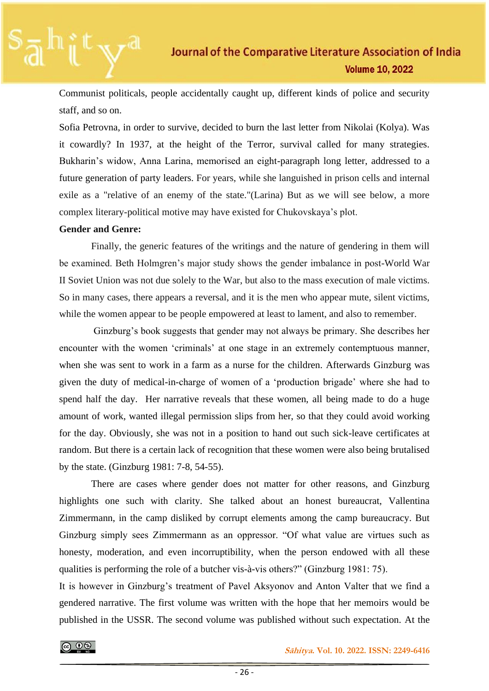Communist politicals, people accidentally caught up, different kinds of police and security staff, and so on.

Sofia Petrovna, in order to survive, decided to burn the last letter from Nikolai (Kolya). Was it cowardly? In 1937, at the height of the Terror, survival called for many strategies. Bukharin's widow, Anna Larina, memorised an eight-paragraph long letter, addressed to a future generation of party leaders. For years, while she languished in prison cells and internal exile as a "relative of an enemy of the state."(Larina) But as we will see below, a more complex literary-political motive may have existed for Chukovskaya's plot.

## **Gender and Genre:**

 Finally, the generic features of the writings and the nature of gendering in them will be examined. Beth Holmgren's major study shows the gender imbalance in post-World War II Soviet Union was not due solely to the War, but also to the mass execution of male victims. So in many cases, there appears a reversal, and it is the men who appear mute, silent victims, while the women appear to be people empowered at least to lament, and also to remember.

 Ginzburg's book suggests that gender may not always be primary. She describes her encounter with the women 'criminals' at one stage in an extremely contemptuous manner, when she was sent to work in a farm as a nurse for the children. Afterwards Ginzburg was given the duty of medical-in-charge of women of a 'production brigade' where she had to spend half the day. Her narrative reveals that these women, all being made to do a huge amount of work, wanted illegal permission slips from her, so that they could avoid working for the day. Obviously, she was not in a position to hand out such sick-leave certificates at random. But there is a certain lack of recognition that these women were also being brutalised by the state. (Ginzburg 1981: 7-8, 54-55).

 There are cases where gender does not matter for other reasons, and Ginzburg highlights one such with clarity. She talked about an honest bureaucrat, Vallentina Zimmermann, in the camp disliked by corrupt elements among the camp bureaucracy. But Ginzburg simply sees Zimmermann as an oppressor. "Of what value are virtues such as honesty, moderation, and even incorruptibility, when the person endowed with all these qualities is performing the role of a butcher vis-à-vis others?" (Ginzburg 1981: 75).

It is however in Ginzburg's treatment of Pavel Aksyonov and Anton Valter that we find a gendered narrative. The first volume was written with the hope that her memoirs would be published in the USSR. The second volume was published without such expectation. At the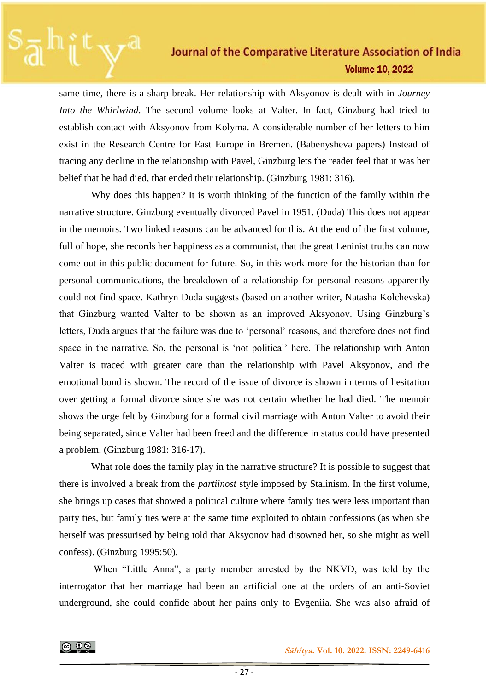same time, there is a sharp break. Her relationship with Aksyonov is dealt with in *Journey Into the Whirlwind*. The second volume looks at Valter. In fact, Ginzburg had tried to establish contact with Aksyonov from Kolyma. A considerable number of her letters to him exist in the Research Centre for East Europe in Bremen. (Babenysheva papers) Instead of tracing any decline in the relationship with Pavel, Ginzburg lets the reader feel that it was her belief that he had died, that ended their relationship. (Ginzburg 1981: 316).

 Why does this happen? It is worth thinking of the function of the family within the narrative structure. Ginzburg eventually divorced Pavel in 1951. (Duda) This does not appear in the memoirs. Two linked reasons can be advanced for this. At the end of the first volume, full of hope, she records her happiness as a communist, that the great Leninist truths can now come out in this public document for future. So, in this work more for the historian than for personal communications, the breakdown of a relationship for personal reasons apparently could not find space. Kathryn Duda suggests (based on another writer, Natasha Kolchevska) that Ginzburg wanted Valter to be shown as an improved Aksyonov. Using Ginzburg's letters, Duda argues that the failure was due to 'personal' reasons, and therefore does not find space in the narrative. So, the personal is 'not political' here. The relationship with Anton Valter is traced with greater care than the relationship with Pavel Aksyonov, and the emotional bond is shown. The record of the issue of divorce is shown in terms of hesitation over getting a formal divorce since she was not certain whether he had died. The memoir shows the urge felt by Ginzburg for a formal civil marriage with Anton Valter to avoid their being separated, since Valter had been freed and the difference in status could have presented a problem. (Ginzburg 1981: 316-17).

What role does the family play in the narrative structure? It is possible to suggest that there is involved a break from the *partiinost* style imposed by Stalinism. In the first volume, she brings up cases that showed a political culture where family ties were less important than party ties, but family ties were at the same time exploited to obtain confessions (as when she herself was pressurised by being told that Aksyonov had disowned her, so she might as well confess). (Ginzburg 1995:50).

 When "Little Anna", a party member arrested by the NKVD, was told by the interrogator that her marriage had been an artificial one at the orders of an anti-Soviet underground, she could confide about her pains only to Evgeniia. She was also afraid of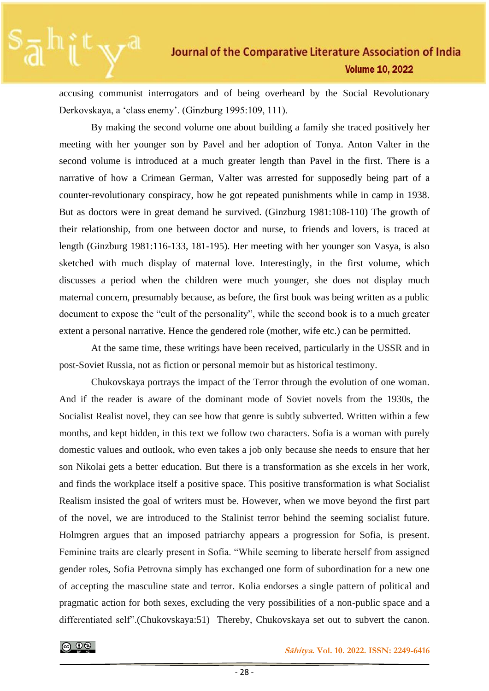accusing communist interrogators and of being overheard by the Social Revolutionary Derkovskaya, a 'class enemy'. (Ginzburg 1995:109, 111).

 By making the second volume one about building a family she traced positively her meeting with her younger son by Pavel and her adoption of Tonya. Anton Valter in the second volume is introduced at a much greater length than Pavel in the first. There is a narrative of how a Crimean German, Valter was arrested for supposedly being part of a counter-revolutionary conspiracy, how he got repeated punishments while in camp in 1938. But as doctors were in great demand he survived. (Ginzburg 1981:108-110) The growth of their relationship, from one between doctor and nurse, to friends and lovers, is traced at length (Ginzburg 1981:116-133, 181-195). Her meeting with her younger son Vasya, is also sketched with much display of maternal love. Interestingly, in the first volume, which discusses a period when the children were much younger, she does not display much maternal concern, presumably because, as before, the first book was being written as a public document to expose the "cult of the personality", while the second book is to a much greater extent a personal narrative. Hence the gendered role (mother, wife etc.) can be permitted.

 At the same time, these writings have been received, particularly in the USSR and in post-Soviet Russia, not as fiction or personal memoir but as historical testimony.

 Chukovskaya portrays the impact of the Terror through the evolution of one woman. And if the reader is aware of the dominant mode of Soviet novels from the 1930s, the Socialist Realist novel, they can see how that genre is subtly subverted. Written within a few months, and kept hidden, in this text we follow two characters. Sofia is a woman with purely domestic values and outlook, who even takes a job only because she needs to ensure that her son Nikolai gets a better education. But there is a transformation as she excels in her work, and finds the workplace itself a positive space. This positive transformation is what Socialist Realism insisted the goal of writers must be. However, when we move beyond the first part of the novel, we are introduced to the Stalinist terror behind the seeming socialist future. Holmgren argues that an imposed patriarchy appears a progression for Sofia, is present. Feminine traits are clearly present in Sofia. "While seeming to liberate herself from assigned gender roles, Sofia Petrovna simply has exchanged one form of subordination for a new one of accepting the masculine state and terror. Kolia endorses a single pattern of political and pragmatic action for both sexes, excluding the very possibilities of a non-public space and a differentiated self".(Chukovskaya:51) Thereby, Chukovskaya set out to subvert the canon.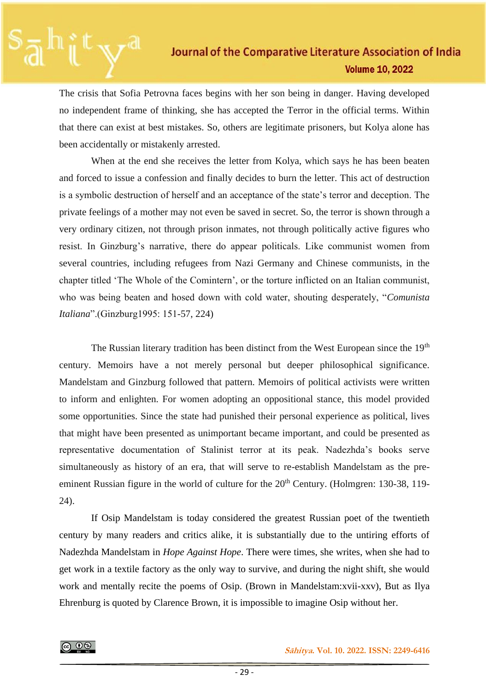The crisis that Sofia Petrovna faces begins with her son being in danger. Having developed no independent frame of thinking, she has accepted the Terror in the official terms. Within that there can exist at best mistakes. So, others are legitimate prisoners, but Kolya alone has been accidentally or mistakenly arrested.

 When at the end she receives the letter from Kolya, which says he has been beaten and forced to issue a confession and finally decides to burn the letter. This act of destruction is a symbolic destruction of herself and an acceptance of the state's terror and deception. The private feelings of a mother may not even be saved in secret. So, the terror is shown through a very ordinary citizen, not through prison inmates, not through politically active figures who resist. In Ginzburg's narrative, there do appear politicals. Like communist women from several countries, including refugees from Nazi Germany and Chinese communists, in the chapter titled 'The Whole of the Comintern', or the torture inflicted on an Italian communist, who was being beaten and hosed down with cold water, shouting desperately, "*Comunista Italiana*".(Ginzburg1995: 151-57, 224)

The Russian literary tradition has been distinct from the West European since the 19<sup>th</sup> century. Memoirs have a not merely personal but deeper philosophical significance. Mandelstam and Ginzburg followed that pattern. Memoirs of political activists were written to inform and enlighten. For women adopting an oppositional stance, this model provided some opportunities. Since the state had punished their personal experience as political, lives that might have been presented as unimportant became important, and could be presented as representative documentation of Stalinist terror at its peak. Nadezhda's books serve simultaneously as history of an era, that will serve to re-establish Mandelstam as the preeminent Russian figure in the world of culture for the  $20<sup>th</sup>$  Century. (Holmgren: 130-38, 119-24).

 If Osip Mandelstam is today considered the greatest Russian poet of the twentieth century by many readers and critics alike, it is substantially due to the untiring efforts of Nadezhda Mandelstam in *Hope Against Hope*. There were times, she writes, when she had to get work in a textile factory as the only way to survive, and during the night shift, she would work and mentally recite the poems of Osip. (Brown in Mandelstam:xvii-xxv), But as Ilya Ehrenburg is quoted by Clarence Brown, it is impossible to imagine Osip without her.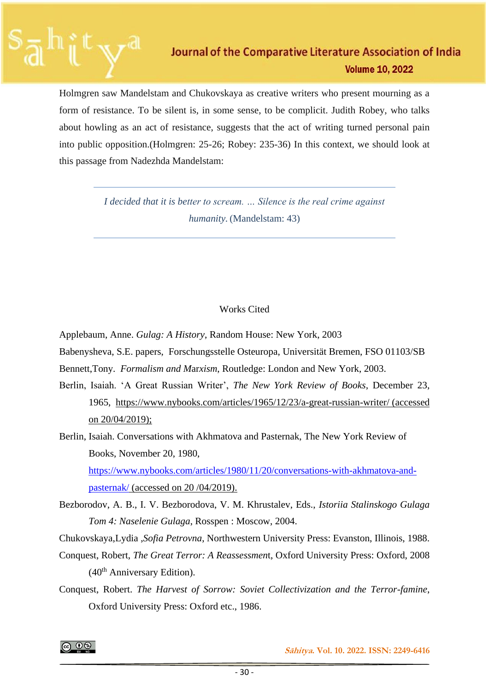Holmgren saw Mandelstam and Chukovskaya as creative writers who present mourning as a form of resistance. To be silent is, in some sense, to be complicit. Judith Robey, who talks about howling as an act of resistance, suggests that the act of writing turned personal pain into public opposition.(Holmgren: 25-26; Robey: 235-36) In this context, we should look at this passage from Nadezhda Mandelstam:

> *I decided that it is better to scream. … Silence is the real crime against humanity.* (Mandelstam: 43)

## Works Cited

Applebaum, Anne. *Gulag: A History*, Random House: New York, 2003

Babenysheva, S.E. papers, Forschungsstelle Osteuropa, Universität Bremen, FSO 01103/SB

Bennett,Tony. *Formalism and M*ar*xism*, Routledge: London and New York, 2003.

- Berlin, Isaiah. 'A Great Russian Writer', *The New York Review of Books*, December 23, 1965, <https://www.nybooks.com/articles/1965/12/23/a-great-russian-writer/> (accessed on 20/04/2019);
- Berlin, Isaiah. Conversations with Akhmatova and Pasternak, The New York Review of Books, November 20, 1980, [https://www.nybooks.com/articles/1980/11/20/conversations-with-akhmatova-and](https://www.nybooks.com/articles/1980/11/20/conversations-with-akhmatova-and-pasternak/)[pasternak/](https://www.nybooks.com/articles/1980/11/20/conversations-with-akhmatova-and-pasternak/) (accessed on 20 /04/2019).
- Bezborodov, A. B., I. V. Bezborodova, V. M. Khrustalev, Eds., *Istoriia Stalinskogo Gulaga Tom 4: Naselenie Gulaga*, Rosspen : Moscow, 2004.

Chukovskaya,Lydia ,*Sofia Petrovna*, Northwestern University Press: Evanston, Illinois, 1988.

- Conquest, Robert, *The Great Terror: A Reassessmen*t, Oxford University Press: Oxford, 2008  $(40<sup>th</sup>$  Anniversary Edition).
- Conquest, Robert. *The Harvest of Sorrow: Soviet Collectivization and the Terror-famine*, Oxford University Press: Oxford etc., 1986.

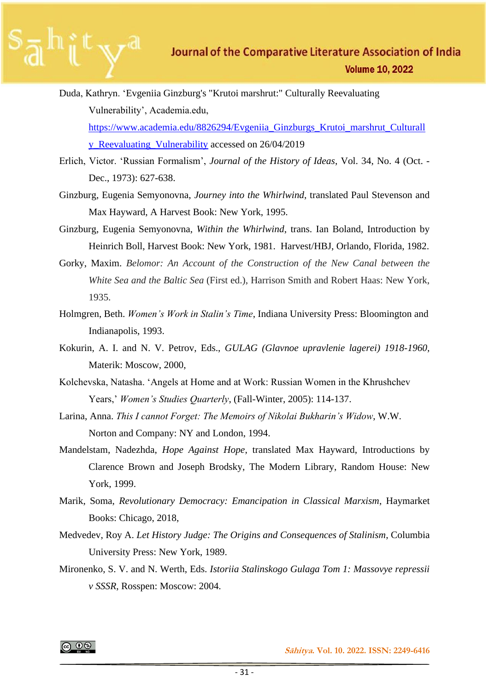- Duda, Kathryn. 'Evgeniia Ginzburg's "Krutoi marshrut:" Culturally Reevaluating Vulnerability', Academia.edu, [https://www.academia.edu/8826294/Evgeniia\\_Ginzburgs\\_Krutoi\\_marshrut\\_Culturall](https://www.academia.edu/8826294/Evgeniia_Ginzburgs_Krutoi_marshrut_Culturally_Reevaluating_Vulnerability) [y\\_Reevaluating\\_Vulnerability](https://www.academia.edu/8826294/Evgeniia_Ginzburgs_Krutoi_marshrut_Culturally_Reevaluating_Vulnerability) accessed on 26/04/2019
- Erlich, Victor. 'Russian Formalism', *Journal of the History of Ideas*, Vol. 34, No. 4 (Oct. Dec., 1973): 627-638.
- Ginzburg, Eugenia Semyonovna, *Journey into the Whirlwind*, translated Paul Stevenson and Max Hayward, A Harvest Book: New York, 1995.
- Ginzburg, Eugenia Semyonovna, *Within the Whirlwind*, trans. Ian Boland, Introduction by Heinrich Boll, Harvest Book: New York, 1981. Harvest/HBJ, Orlando, Florida, 1982.
- Gorky, Maxim. *Belomor: An Account of the Construction of the New Canal between the White Sea and the Baltic Sea* (First ed.), Harrison Smith and Robert Haas: New York, 1935.
- Holmgren, Beth. *Women's Work in Stalin's Time*, Indiana University Press: Bloomington and Indianapolis, 1993.
- Kokurin, A. I. and N. V. Petrov, Eds., *GULAG (Glavnoe upravlenie lagerei) 1918-1960,* Materik: Moscow, 2000,
- Kolchevska, Natasha. 'Angels at Home and at Work: Russian Women in the Khrushchev Years,' *Women's Studies Quarterly*, (Fall-Winter, 2005): 114-137.
- Larina, Anna. *This I cannot Forget: The Memoirs of Nikolai Bukharin's Widow*, W.W. Norton and Company: NY and London, 1994.
- Mandelstam, Nadezhda, *Hope Against Hope*, translated Max Hayward, Introductions by Clarence Brown and Joseph Brodsky, The Modern Library, Random House: New York, 1999.
- Marik, Soma, *Revolutionary Democracy: Emancipation in Classical Marxism*, Haymarket Books: Chicago, 2018,
- Medvedev, Roy A. *Let History Judge: The Origins and Consequences of Stalinism*, Columbia University Press: New York, 1989.
- Mironenko, S. V. and N. Werth, Eds. *Istoriia Stalinskogo Gulaga Tom 1: Massovye repressii v SSSR*, Rosspen: Moscow: 2004.

@ ⊕⊗